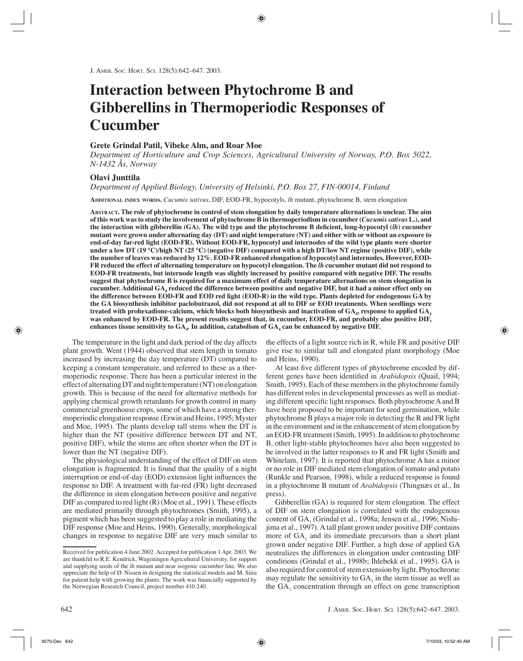# **Interaction between Phytochrome B and Gibberellins in Thermoperiodic Responses of Cucumber**

## **Grete Grindal Patil, Vibeke Alm, and Roar Moe**

*Department of Horticulture and Crop Sciences, Agricultural University of Norway, P.O. Box 5022, N-1432 Ås, Norway*

# **Olavi Junttila**

*Department of Applied Biology, University of Helsinki, P.O. Box 27, FIN-00014, Finland*

**ADDITIONAL INDEX WORDS.** *Cucumis sativus*, DIF, EOD-FR, hypocotyls, *lh* mutant, phytochrome B, stem elongation

**ABSTRACT. The role of phytochrome in control of stem elongation by daily temperature alternations is unclear. The aim of this work was to study the involvement of phytochrome B in thermoperiodism in cucumber (***Cucumis sativus* **L.), and the interaction with gibberellin (GA). The wild type and the phytochrome B deficient, long-hypocotyl (***lh***) cucumber mutant were grown under alternating day (DT) and night temperature (NT) and either with or without an exposure to end-of-day far-red light (EOD-FR). Without EOD-FR, hypocotyl and internodes of the wild type plants were shorter under a low DT (19 °C)/high NT (25 °C) (negative DIF) compared with a high DT/low NT regime (positive DIF), while the number of leaves was reduced by 12%. EOD-FR enhanced elongation of hypocotyl and internodes. However, EOD-FR reduced the effect of alternating temperature on hypocotyl elongation. The** *lh* **cucumber mutant did not respond to EOD-FR treatments, but internode length was slightly increased by positive compared with negative DIF. The results suggest that phytochrome B is required for a maximum effect of daily temperature alternations on stem elongation in cucumber. Additional GA4 reduced the difference between positive and negative DIF, but it had a minor effect only on the difference between EOD-FR and EOD red light (EOD-R) in the wild type. Plants depleted for endogenous GA by the GA biosynthesis inhibitor paclobutrazol, did not respond at all to DIF or EOD treatments. When seedlings were treated with prohexadione-calcium, which blocks both biosynthesis and inactivation of GA4, response to applied GA4 was enhanced by EOD-FR. The present results suggest that, in cucumber, EOD-FR, and probably also positive DIF,**  enhances tissue sensitivity to GA<sub>4</sub>. In addition, catabolism of GA<sub>4</sub> can be enhanced by negative DIF.

The temperature in the light and dark period of the day affects plant growth. Went (1944) observed that stem length in tomato increased by increasing the day temperature (DT) compared to keeping a constant temperature, and referred to these as a thermoperiodic response. There has been a particular interest in the effect of alternating DT and night temperature (NT) on elongation growth. This is because of the need for alternative methods for applying chemical growth retardants for growth control in many commercial greenhouse crops, some of which have a strong thermoperiodic elongation response (Erwin and Heins, 1995; Myster and Moe, 1995). The plants develop tall stems when the DT is higher than the NT (positive difference between DT and NT, positive DIF), while the stems are often shorter when the DT is lower than the NT (negative DIF).

The physiological understanding of the effect of DIF on stem elongation is fragmented. It is found that the quality of a night interruption or end-of-day (EOD) extension light influences the response to DIF. A treatment with far-red (FR) light decreased the difference in stem elongation between positive and negative DIF as compared to red light (R) (Moe et al., 1991). These effects are mediated primarily through phytochromes (Smith, 1995), a pigment which has been suggested to play a role in mediating the DIF response (Moe and Heins, 1990). Generally, morphological changes in response to negative DIF are very much similar to the effects of a light source rich in R, while FR and positive DIF give rise to similar tall and elongated plant morphology (Moe and Heins, 1990).

At least five different types of phytochrome encoded by different genes have been identified in *Arabidopsis* (Quail, 1994; Smith, 1995). Each of these members in the phytochrome family has different roles in developmental processes as well as mediating different specific light responses. Both phytochrome A and B have been proposed to be important for seed germination, while phytochrome B plays a major role in detecting the R and FR light in the environment and in the enhancement of stem elongation by an EOD-FR treatment (Smith, 1995). In addition to phytochrome B, other light-stable phytochromes have also been suggested to be involved in the latter responses to R and FR light (Smith and Whitelam, 1997). It is reported that phytochrome A has a minor or no role in DIF mediated stem elongation of tomato and potato (Runkle and Pearson, 1998), while a reduced response is found in a phytochrome B mutant of *Arabidopsis* (Thingnæs et al., In press).

Gibberellin (GA) is required for stem elongation. The effect of DIF on stem elongation is correlated with the endogenous content of GA<sub>1</sub> (Grindal et al., 1998a; Jensen et al., 1996; Nishijima et al., 1997). A tall plant grown under positive DIF contains more of  $GA_1$  and its immediate precursors than a short plant grown under negative DIF. Further, a high dose of applied GA neutralizes the differences in elongation under contrasting DIF conditions (Grindal et al., 1998b; Ihlebekk et al., 1995). GA is also required for control of stem extension by light. Phytochrome may regulate the sensitivity to  $GA_1$  in the stem tissue as well as the  $GA_1$  concentration through an effect on gene transcription

Received for publication 4 June 2002. Accepted for publication 1 Apr. 2003. We are thankful to R.E. Kendrick, Wageningen Agricultural University, for support and supplying seeds of the *lh* mutant and near isogenic cucumber line. We also appreciate the help of Ø. Nissen in designing the statistical models and M. Siira for patient help with growing the plants. The work was financially supported by the Norwegian Research Council, project number 410.240.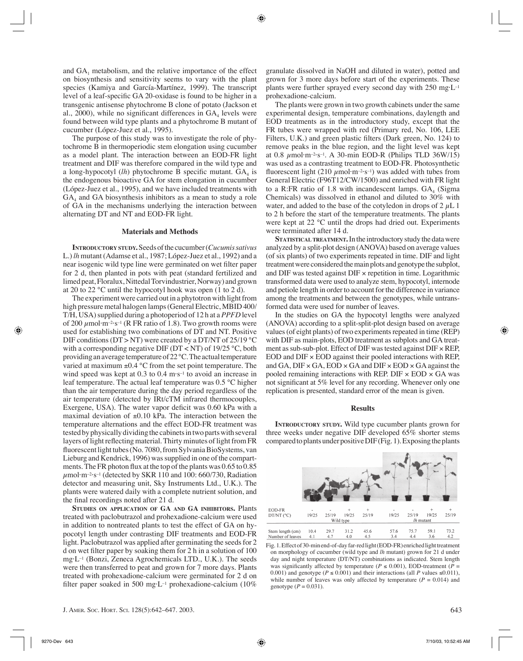and  $GA_1$  metabolism, and the relative importance of the effect on biosynthesis and sensitivity seems to vary with the plant species (Kamiya and García-Martínez, 1999). The transcript level of a leaf-specific GA 20-oxidase is found to be higher in a transgenic antisense phytochrome B clone of potato (Jackson et al., 2000), while no significant differences in  $GA_4$  levels were found between wild type plants and a phytochrome B mutant of cucumber (López-Juez et al., 1995).

The purpose of this study was to investigate the role of phytochrome B in thermoperiodic stem elongation using cucumber as a model plant. The interaction between an EOD-FR light treatment and DIF was therefore compared in the wild type and a long-hypocotyl  $(lh)$  phytochrome B specific mutant.  $GA_4$  is the endogenous bioactive GA for stem elongation in cucumber (López-Juez et al., 1995), and we have included treatments with  $GA<sub>4</sub>$  and GA biosynthesis inhibitors as a mean to study a role of GA in the mechanisms underlying the interaction between alternating DT and NT and EOD-FR light.

## **Materials and Methods**

**INTRODUCTORY STUDY.** Seeds of the cucumber (*Cucumis sativus* L.) *lh* mutant (Adamse et al., 1987; López-Juez et al., 1992) and a near isogenic wild type line were germinated on wet filter paper for 2 d, then planted in pots with peat (standard fertilized and limed peat, Floralux, Nittedal Torvindustrier, Norway) and grown at 20 to 22 °C until the hypocotyl hook was open (1 to 2 d).

The experiment were carried out in a phytotron with light from high pressure metal halogen lamps (General Electric, MBID 400/ T/H, USA) supplied during a photoperiod of 12 h at a *PPFD* level of 200  $\mu$ mol·m<sup>-2</sup>·s<sup>-1</sup> (R FR ratio of 1.8). Two growth rooms were used for establishing two combinations of DT and NT. Positive DIF conditions (DT > NT) were created by a DT/NT of  $25/19\text{ °C}$ with a corresponding negative DIF ( $DT < NT$ ) of 19/25 °C, both providing an average temperature of 22 °C. The actual temperature varied at maximum ±0.4 °C from the set point temperature. The wind speed was kept at 0.3 to 0.4 m·s<sup>-1</sup> to avoid an increase in leaf temperature. The actual leaf temperature was 0.5 °C higher than the air temperature during the day period regardless of the air temperature (detected by IRt/cTM infrared thermocouples, Exergene, USA). The water vapor deficit was 0.60 kPa with a maximal deviation of  $\pm 0.10$  kPa. The interaction between the temperature alternations and the effect EOD-FR treatment was tested by physically dividing the cabinets in two parts with several layers of light reflecting material. Thirty minutes of light from FR fluorescent light tubes (No. 7080, from Sylvania BioSystems, van Lieburg and Kendrick, 1996) was supplied in one of the compartments. The FR photon flux at the top of the plants was 0.65 to 0.85  $\mu$ mol·m<sup>-2</sup>·s<sup>-1</sup> (detected by SKR 110 and 100: 660/730, Radiation detector and measuring unit, Sky Instruments Ltd., U.K.). The plants were watered daily with a complete nutrient solution, and the final recordings noted after 21 d.

**STUDIES ON APPLICATION OF GA AND GA INHIBITORS.** Plants treated with paclobutrazol and prohexadione-calcium were used in addition to nontreated plants to test the effect of GA on hypocotyl length under contrasting DIF treatments and EOD-FR light. Paclobutrazol was applied after germinating the seeds for 2 d on wet filter paper by soaking them for 2 h in a solution of 100 mg·L–1 (Bonzi, Zeneca Agrochemicals LTD., U.K.). The seeds were then transferred to peat and grown for 7 more days. Plants treated with prohexadione-calcium were germinated for 2 d on filter paper soaked in 500 mg·L<sup>-1</sup> prohexadione-calcium (10%)

granulate dissolved in NaOH and diluted in water), potted and grown for 3 more days before start of the experiments. These plants were further sprayed every second day with 250 mg·L–1 prohexadione-calcium.

The plants were grown in two growth cabinets under the same experimental design, temperature combinations, daylength and EOD treatments as in the introductory study, except that the FR tubes were wrapped with red (Primary red, No. 106, LEE Filters, U.K.) and green plastic filters (Dark green, No. 124) to remove peaks in the blue region, and the light level was kept at 0.8  $\mu$ mol·m<sup>-2</sup>·s<sup>-1</sup>. A 30-min EOD-R (Philips TLD 36W/15) was used as a contrasting treatment to EOD-FR. Photosynthetic fluorescent light (210  $\mu$ mol·m<sup>-2</sup>·s<sup>-1</sup>) was added with tubes from General Electric (F96T12/CW/1500) and enriched with FR light to a R:FR ratio of 1.8 with incandescent lamps.  $GA_4$  (Sigma Chemicals) was dissolved in ethanol and diluted to 30% with water, and added to the base of the cotyledon in drops of  $2 \mu L$  1 to 2 h before the start of the temperature treatments. The plants were kept at 22 °C until the drops had dried out. Experiments were terminated after 14 d.

**STATISTICAL TREATMENT.**In the introductory study the data were analyzed by a split-plot design (ANOVA) based on average values (of six plants) of two experiments repeated in time. DIF and light treatment were considered the main plots and genotype the subplot, and DIF was tested against  $\text{DIF} \times \text{repetition in time. Logarithmic}$ transformed data were used to analyze stem, hypocotyl, internode and petiole length in order to account for the difference in variance among the treatments and between the genotypes, while untransformed data were used for number of leaves.

In the studies on GA the hypocotyl lengths were analyzed (ANOVA) according to a split-split-plot design based on average values (of eight plants) of two experiments repeated in time (REP) with DIF as main-plots, EOD treatment as subplots and GA treatment as sub-sub-plot. Effect of DIF was tested against  $\text{DIF} \times \text{REP}$ , EOD and  $\text{DIF} \times \text{EOD}$  against their pooled interactions with REP, and GA,  $\text{DIF} \times \text{GA}$ ,  $\text{EOD} \times \text{GA}$  and  $\text{DIF} \times \text{EOD} \times \text{GA}$  against the pooled remaining interactions with REP. DIF  $\times$  EOD  $\times$  GA was not significant at 5% level for any recording. Whenever only one replication is presented, standard error of the mean is given.

#### **Results**

**INTRODUCTORY STUDY.** Wild type cucumber plants grown for three weeks under negative DIF developed 65% shorter stems compared to plants under positive DIF (Fig. 1). Exposing the plants

| EOD-FR           |           |       | $\ddot{}$ | $+$   |           |       | $\ddot{}$ | $+$   |  |
|------------------|-----------|-------|-----------|-------|-----------|-------|-----------|-------|--|
| DT/NT (°C)       | 19/25     | 25/19 | 19/25     | 25/19 | 19/25     | 25/19 | 19/25     | 25/19 |  |
|                  | Wild type |       |           |       | lh mutant |       |           |       |  |
|                  |           |       |           |       |           |       |           |       |  |
| Stem length (cm) | 10.4      | 29.7  | 31.2      | 45.6  | 57.6      | 75.7  | 59.1      | 73.2  |  |
| Number of leaves | 4.1       | 4.7   | 4.0       | 4.5   | 3.4       | 4.4   | 3.6       | 4.2   |  |

Fig. 1. Effect of 30-min end-of-day far-red light (EOD-FR) enriched light treatment on morphology of cucumber (wild type and *lh* mutant) grown for 21 d under day and night temperature (DT/NT) combinations as indicated. Stem length was significantly affected by temperature ( $P \le 0.001$ ), EOD-treatment ( $P =$ 0.001) and genotype ( $P \le 0.001$ ) and their interactions (all P values  $\le 0.011$ ), while number of leaves was only affected by temperature  $(P = 0.014)$  and genotype  $(P = 0.031)$ .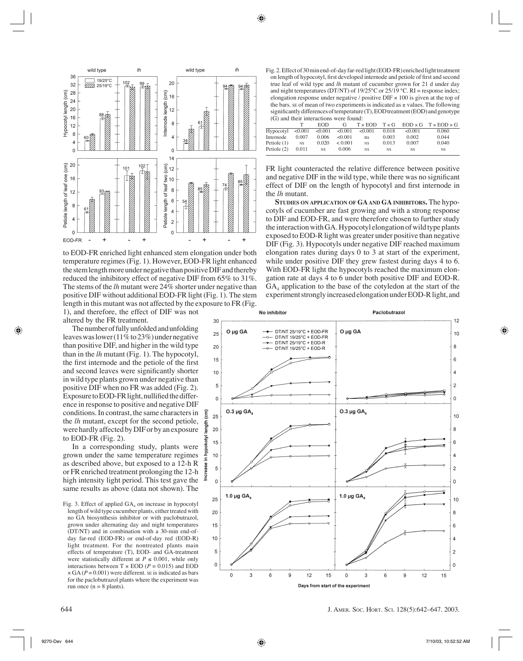

to EOD-FR enriched light enhanced stem elongation under both temperature regimes (Fig. 1). However, EOD-FR light enhanced the stem length more under negative than positive DIF and thereby reduced the inhibitory effect of negative DIF from 65% to 31%. The stems of the *lh* mutant were 24% shorter under negative than positive DIF without additional EOD-FR light (Fig. 1). The stem length in this mutant was not affected by the exposure to FR (Fig. 1), and therefore, the effect of DIF was not

(cm)

length

hypokotyl

3.

altered by the FR treatment. The number of fully unfolded and unfolding leaves was lower (11% to 23%) under negative than positive DIF, and higher in the wild type than in the *lh* mutant (Fig. 1). The hypocotyl, the first internode and the petiole of the first and second leaves were significantly shorter in wild type plants grown under negative than positive DIF when no FR was added (Fig. 2). Exposure to EOD-FR light, nullified the difference in response to positive and negative DIF conditions. In contrast, the same characters in the *lh* mutant, except for the second petiole, were hardly affected by DIF or by an exposure to EOD-FR (Fig. 2).

In a corresponding study, plants were grown under the same temperature regimes as described above, but exposed to a 12-h R or FR enriched treatment prolonging the 12-h high intensity light period. This test gave the same results as above (data not shown). The

Fig. 2. Effect of 30 min end-of-day far-red light (EOD-FR) enriched light treatment on length of hypocotyl, first developed internode and petiole of first and second true leaf of wild type and *lh* mutant of cucumber grown for 21 d under day and night temperatures (DT/NT) of  $19/25^{\circ}$ C or  $25/19^{\circ}$ C. RI = response index; elongation response under negative / positive DIF × 100 is given at the top of the bars. SE of mean of two experiments is indicated as  $\pm$  values. The following significantly differences of temperature (T), EOD treatment (EOD) and genotype (G) and their interactions were found:

| $\sim$ , and then micraetions were round.                     |           |           |                   |           |           |           |                                                                    |  |  |  |
|---------------------------------------------------------------|-----------|-----------|-------------------|-----------|-----------|-----------|--------------------------------------------------------------------|--|--|--|
|                                                               |           | EOD.      | G                 |           |           |           | $T \times EOD$ $T \times G$ $EOD \times G$ $T \times EOD \times G$ |  |  |  |
| Hypocotyl $\leq 0.001$ $\leq 0.001$ $\leq 0.001$ $\leq 0.001$ |           |           |                   |           | 0.018     | < 0.001   | 0.060                                                              |  |  |  |
| Internode                                                     | 0.007     |           | $0.006 \le 0.001$ | ns        | 0.003     | 0.002     | 0.044                                                              |  |  |  |
| Petiole $(1)$                                                 | <b>NS</b> | 0.020     | < 0.001           | NS.       | 0.013     | 0.007     | 0.040                                                              |  |  |  |
| Petiole (2)                                                   | 0.011     | <b>NS</b> | 0.006             | <b>NS</b> | <b>NS</b> | <b>NS</b> | <b>NS</b>                                                          |  |  |  |
|                                                               |           |           |                   |           |           |           |                                                                    |  |  |  |

FR light counteracted the relative difference between positive and negative DIF in the wild type, while there was no significant effect of DIF on the length of hypocotyl and first internode in the *lh* mutant.

**STUDIES ON APPLICATION OF GA AND GA INHIBITORS.** The hypocotyls of cucumber are fast growing and with a strong response to DIF and EOD-FR, and were therefore chosen to further study the interaction with GA. Hypocotyl elongation of wild type plants exposed to EOD-R light was greater under positive than negative DIF (Fig. 3). Hypocotyls under negative DIF reached maximum elongation rates during days 0 to 3 at start of the experiment, while under positive DIF they grew fastest during days 4 to 6. With EOD-FR light the hypocotyls reached the maximum elongation rate at days 4 to 6 under both positive DIF and EOD-R.  $GA_4$  application to the base of the cotyledon at the start of the experiment strongly increased elongation under EOD-R light, and



Fig. 3. Effect of applied  $GA_4$  on increase in hypocotyl length of wild type cucumber plants, either treated with no GA biosynthesis inhibitor or with paclobutrazol, grown under alternating day and night temperatures (DT/NT) and in combination with a 30-min end-ofday far-red (EOD-FR) or end-of-day red (EOD-R) light treatment. For the nontreated plants main effects of temperature (T), EOD- and GA-treatment were statistically different at  $P \le 0.001$ , while only interactions between  $T \times EOD$  ( $P = 0.015$ ) and EOD  $\times$  GA ( $P = 0.001$ ) were different. SE is indicated as bars for the paclobutrazol plants where the experiment was run once ( $n = 8$  plants).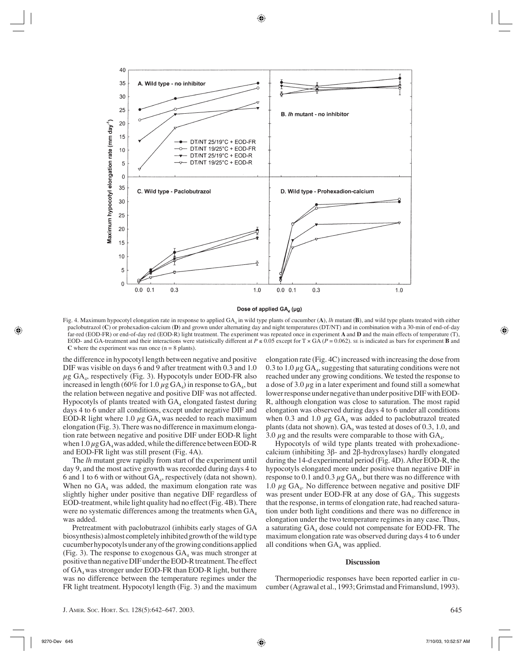

Dose of applied GA<sub>4</sub> (µg)

Fig. 4. Maximum hypocotyl elongation rate in response to applied  $GA_4$  in wild type plants of cucumber  $(A)$ , *lh* mutant  $(B)$ , and wild type plants treated with either paclobutrazol (**C**) or prohexadion-calcium (**D**) and grown under alternating day and night temperatures (DT/NT) and in combination with a 30-min of end-of-day far-red (EOD-FR) or end-of-day red (EOD-R) light treatment. The experiment was repeated once in experiment **A** and **D** and the main effects of temperature (T), EOD- and GA-treatment and their interactions were statistically different at  $P \le 0.05$  except for T × GA ( $P = 0.062$ ). SE is indicated as bars for experiment **B** and **C** where the experiment was run once  $(n = 8$  plants).

the difference in hypocotyl length between negative and positive DIF was visible on days 6 and 9 after treatment with 0.3 and 1.0  $\mu$ g GA<sub>4</sub>, respectively (Fig. 3). Hypocotyls under EOD-FR also increased in length (60% for 1.0  $\mu$ g GA<sub>4</sub>) in response to GA<sub>4</sub>, but the relation between negative and positive DIF was not affected. Hypocotyls of plants treated with  $GA_4$  elongated fastest during days 4 to 6 under all conditions, except under negative DIF and EOD-R light where 1.0  $\mu$ g GA<sub>4</sub> was needed to reach maximum elongation (Fig. 3). There was no difference in maximum elongation rate between negative and positive DIF under EOD-R light when  $1.0 \mu$ g GA<sub>4</sub> was added, while the difference between EOD-R and EOD-FR light was still present (Fig. 4A).

The *lh* mutant grew rapidly from start of the experiment until day 9, and the most active growth was recorded during days 4 to 6 and 1 to 6 with or without  $GA_4$ , respectively (data not shown). When no  $GA_4$  was added, the maximum elongation rate was slightly higher under positive than negative DIF regardless of EOD-treatment, while light quality had no effect (Fig. 4B). There were no systematic differences among the treatments when  $GA_4$ was added.

Pretreatment with paclobutrazol (inhibits early stages of GA biosynthesis) almost completely inhibited growth of the wild type cucumber hypocotyls under any of the growing conditions applied (Fig. 3). The response to exogenous  $GA_4$  was much stronger at positive than negative DIF under the EOD-R treatment. The effect of  $GA_4$  was stronger under EOD-FR than EOD-R light, but there was no difference between the temperature regimes under the FR light treatment. Hypocotyl length (Fig. 3) and the maximum elongation rate (Fig. 4C) increased with increasing the dose from 0.3 to 1.0  $\mu$ g GA<sub>4</sub>, suggesting that saturating conditions were not reached under any growing conditions. We tested the response to a dose of 3.0  $\mu$ g in a later experiment and found still a somewhat lower response under negative than under positive DIF with EOD-R, although elongation was close to saturation. The most rapid elongation was observed during days 4 to 6 under all conditions when 0.3 and 1.0  $\mu$ g GA<sub>4</sub> was added to paclobutrazol treated plants (data not shown).  $GA_9$  was tested at doses of 0.3, 1.0, and 3.0  $\mu$ g and the results were comparable to those with GA<sub>4</sub>.

Hypocotyls of wild type plants treated with prohexadionecalcium (inhibiting 3β- and 2β-hydroxylases) hardly elongated during the 14-d experimental period (Fig. 4D). After EOD-R, the hypocotyls elongated more under positive than negative DIF in response to 0.1 and 0.3  $\mu$ g GA<sub>4</sub>, but there was no difference with 1.0  $\mu$ g GA<sub>4</sub>. No difference between negative and positive DIF was present under EOD-FR at any dose of  $GA_4$ . This suggests that the response, in terms of elongation rate, had reached saturation under both light conditions and there was no difference in elongation under the two temperature regimes in any case. Thus, a saturating  $GA_4$  dose could not compensate for EOD-FR. The maximum elongation rate was observed during days 4 to 6 under all conditions when  $GA_4$  was applied.

### **Discussion**

Thermoperiodic responses have been reported earlier in cucumber (Agrawal et al., 1993; Grimstad and Frimanslund, 1993).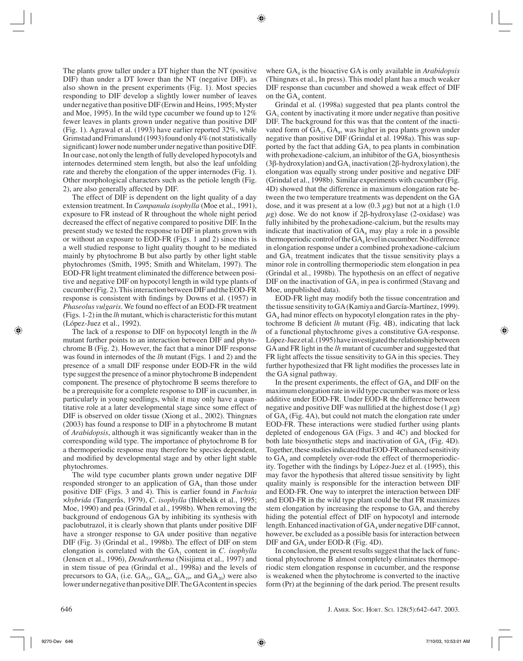The plants grow taller under a DT higher than the NT (positive DIF) than under a DT lower than the NT (negative DIF), as also shown in the present experiments (Fig. 1). Most species responding to DIF develop a slightly lower number of leaves under negative than positive DIF (Erwin and Heins, 1995; Myster and Moe, 1995). In the wild type cucumber we found up to 12% fewer leaves in plants grown under negative than positive DIF (Fig. 1). Agrawal et al. (1993) have earlier reported 32%, while Grimstad and Frimanslund (1993) found only 4% (not statistically significant) lower node number under negative than positive DIF. In our case, not only the length of fully developed hypocotyls and internodes determined stem length, but also the leaf unfolding rate and thereby the elongation of the upper internodes (Fig. 1). Other morphological characters such as the petiole length (Fig. 2), are also generally affected by DIF.

The effect of DIF is dependent on the light quality of a day extension treatment. In *Campanula isophylla* (Moe et al., 1991), exposure to FR instead of R throughout the whole night period decreased the effect of negative compared to positive DIF. In the present study we tested the response to DIF in plants grown with or without an exposure to EOD-FR (Figs. 1 and 2) since this is a well studied response to light quality thought to be mediated mainly by phytochrome B but also partly by other light stable phytochromes (Smith, 1995; Smith and Whitelam, 1997). The EOD-FR light treatment eliminated the difference between positive and negative DIF on hypocotyl length in wild type plants of cucumber (Fig. 2). This interaction between DIF and the EOD-FR response is consistent with findings by Downs et al. (1957) in *Phaseolus vulgaris*. We found no effect of an EOD-FR treatment (Figs. 1-2) in the *lh* mutant, which is characteristic for this mutant (López-Juez et al., 1992).

The lack of a response to DIF on hypocotyl length in the *lh* mutant further points to an interaction between DIF and phytochrome B (Fig. 2). However, the fact that a minor DIF response was found in internodes of the *lh* mutant (Figs. 1 and 2) and the presence of a small DIF response under EOD-FR in the wild type suggest the presence of a minor phytochrome B independent component. The presence of phytochrome B seems therefore to be a prerequisite for a complete response to DIF in cucumber, in particularly in young seedlings, while it may only have a quantitative role at a later developmental stage since some effect of DIF is observed on older tissue (Xiong et al., 2002). Thingnæs (2003) has found a response to DIF in a phytochrome B mutant of *Arabidopsis*, although it was significantly weaker than in the corresponding wild type. The importance of phytochrome B for a thermoperiodic response may therefore be species dependent, and modified by developmental stage and by other light stable phytochromes.

The wild type cucumber plants grown under negative DIF responded stronger to an application of  $GA_4$  than those under positive DIF (Figs. 3 and 4). This is earlier found in *Fuchsia* ×*hybrida* (Tangerås, 1979), *C. isophylla* (Ihlebekk et al., 1995; Moe, 1990) and pea (Grindal et al., 1998b). When removing the background of endogenous GA by inhibiting its synthesis with paclobutrazol, it is clearly shown that plants under positive DIF have a stronger response to GA under positive than negative DIF (Fig. 3) (Grindal et al., 1998b). The effect of DIF on stem elongation is correlated with the  $GA_1$  content in  $C$ . *isophylla* (Jensen et al., 1996), *Dendranthema* (Nisijima et al., 1997) and in stem tissue of pea (Grindal et al., 1998a) and the levels of precursors to  $GA_1$  (i.e.  $GA_{53}$ ,  $GA_{44}$ ,  $GA_{19}$ , and  $GA_{20}$ ) were also lower under negative than positive DIF. The GA content in species

where GA<sub>4</sub> is the bioactive GA is only available in *Arabidopsis* (Thingnæs et al., In press). This model plant has a much weaker DIF response than cucumber and showed a weak effect of DIF on the  $GA_4$  content.

Grindal et al. (1998a) suggested that pea plants control the  $GA<sub>1</sub>$  content by inactivating it more under negative than positive DIF. The background for this was that the content of the inactivated form of  $GA_1, GA_2$ , was higher in pea plants grown under negative than positive DIF (Grindal et al. 1998a). This was supported by the fact that adding  $GA<sub>1</sub>$  to pea plants in combination with prohexadione-calcium, an inhibitor of the  $GA_1$  biosynthesis (3β-hydroxylation) and  $GA_1$  inactivation (2β-hydroxylation), the elongation was equally strong under positive and negative DIF (Grindal et al., 1998b). Similar experiments with cucumber (Fig. 4D) showed that the difference in maximum elongation rate between the two temperature treatments was dependent on the GA dose, and it was present at a low  $(0.3 \mu g)$  but not at a high  $(1.0 \mu g)$  $\mu$ g) dose. We do not know if 2β-hydroxylase (2-oxidase) was fully inhibited by the prohexadione-calcium, but the results may indicate that inactivation of  $GA_4$  may play a role in a possible thermoperiodic control of the  $GA_4$  level in cucumber. No difference in elongation response under a combined prohexadione-calcium and  $GA<sub>1</sub>$  treatment indicates that the tissue sensitivity plays a minor role in controlling thermoperiodic stem elongation in pea (Grindal et al., 1998b). The hypothesis on an effect of negative DIF on the inactivation of  $GA_1$  in pea is confirmed (Stavang and Moe, unpublished data).

EOD-FR light may modify both the tissue concentration and the tissue sensitivity to GA (Kamiya and García-Martínez, 1999).  $GA<sub>4</sub>$  had minor effects on hypocotyl elongation rates in the phytochrome B deficient *lh* mutant (Fig. 4B), indicating that lack of a functional phytochrome gives a constitutive GA-response. López-Juez et al. (1995) have investigated the relationship between GA and FR light in the *lh* mutant of cucumber and suggested that FR light affects the tissue sensitivity to GA in this species. They further hypothesized that FR light modifies the processes late in the GA signal pathway.

In the present experiments, the effect of  $GA_4$  and DIF on the maximum elongation rate in wild type cucumber was more or less additive under EOD-FR. Under EOD-R the difference between negative and positive DIF was nullified at the highest dose  $(1 \mu g)$ of  $GA_4$  (Fig. 4A), but could not match the elongation rate under EOD-FR. These interactions were studied further using plants depleted of endogenous GA (Figs. 3 and 4C) and blocked for both late biosynthetic steps and inactivation of  $GA_4$  (Fig. 4D). Together, these studies indicated that EOD-FR enhanced sensitivity to  $GA_4$  and completely over-rode the effect of thermoperiodicity. Together with the findings by López-Juez et al. (1995), this may favor the hypothesis that altered tissue sensitivity by light quality mainly is responsible for the interaction between DIF and EOD-FR. One way to interpret the interaction between DIF and EOD-FR in the wild type plant could be that FR maximizes stem elongation by increasing the response to GA, and thereby hiding the potential effect of DIF on hypocotyl and internode length. Enhanced inactivation of  $GA_4$  under negative DIF cannot, however, be excluded as a possible basis for interaction between  $DIF$  and  $GA_4$  under EOD-R (Fig. 4D).

In conclusion, the present results suggest that the lack of functional phytochrome B almost completely eliminates thermoperiodic stem elongation response in cucumber, and the response is weakened when the phytochrome is converted to the inactive form (Pr) at the beginning of the dark period. The present results